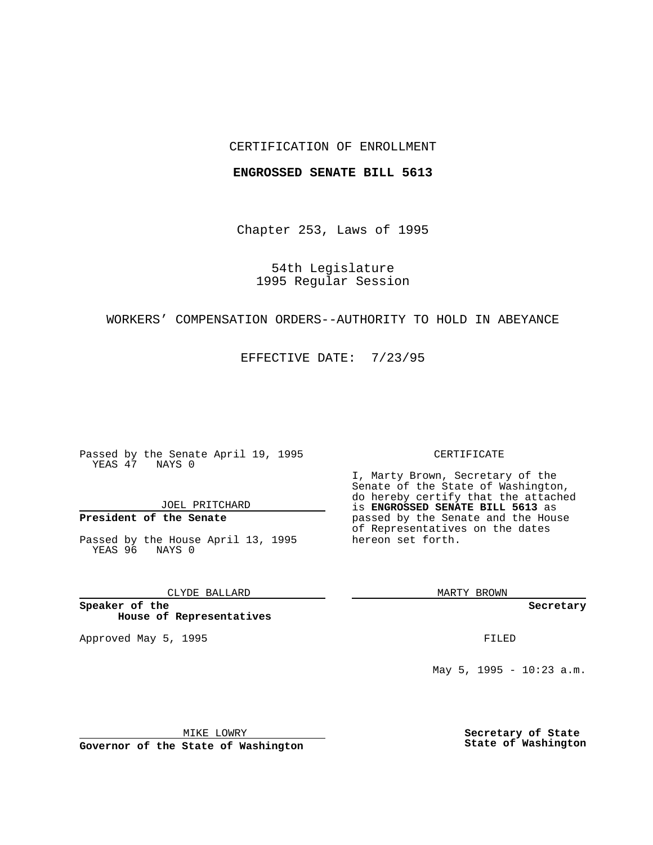## CERTIFICATION OF ENROLLMENT

### **ENGROSSED SENATE BILL 5613**

Chapter 253, Laws of 1995

54th Legislature 1995 Regular Session

## WORKERS' COMPENSATION ORDERS--AUTHORITY TO HOLD IN ABEYANCE

EFFECTIVE DATE: 7/23/95

Passed by the Senate April 19, 1995 YEAS 47 NAYS 0

JOEL PRITCHARD

# **President of the Senate**

Passed by the House April 13, 1995 YEAS 96 NAYS 0

CLYDE BALLARD

**Speaker of the House of Representatives**

Approved May 5, 1995 **FILED** 

#### CERTIFICATE

I, Marty Brown, Secretary of the Senate of the State of Washington, do hereby certify that the attached is **ENGROSSED SENATE BILL 5613** as passed by the Senate and the House of Representatives on the dates hereon set forth.

MARTY BROWN

**Secretary**

May 5, 1995 - 10:23 a.m.

MIKE LOWRY

**Governor of the State of Washington**

**Secretary of State State of Washington**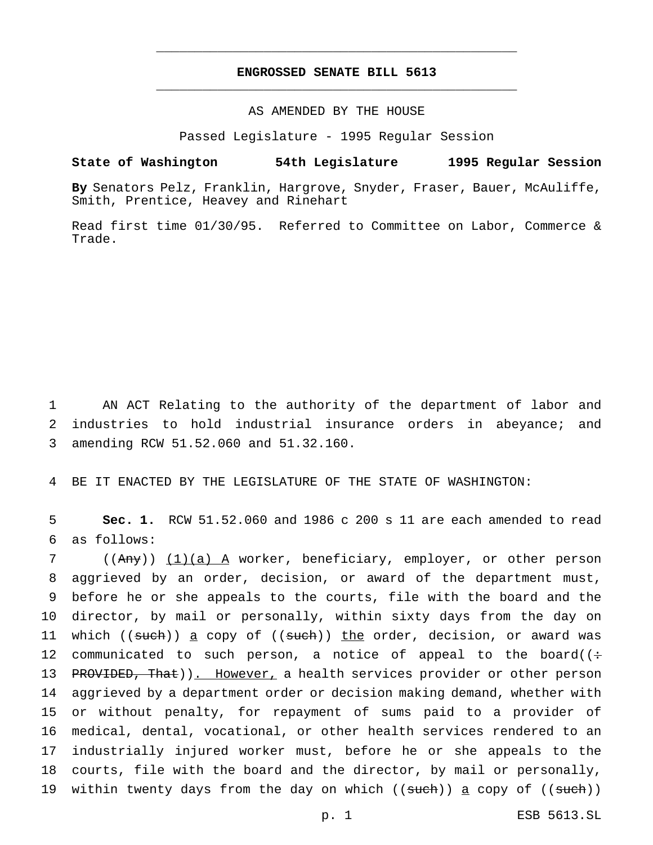## **ENGROSSED SENATE BILL 5613** \_\_\_\_\_\_\_\_\_\_\_\_\_\_\_\_\_\_\_\_\_\_\_\_\_\_\_\_\_\_\_\_\_\_\_\_\_\_\_\_\_\_\_\_\_\_\_

\_\_\_\_\_\_\_\_\_\_\_\_\_\_\_\_\_\_\_\_\_\_\_\_\_\_\_\_\_\_\_\_\_\_\_\_\_\_\_\_\_\_\_\_\_\_\_

## AS AMENDED BY THE HOUSE

Passed Legislature - 1995 Regular Session

#### **State of Washington 54th Legislature 1995 Regular Session**

**By** Senators Pelz, Franklin, Hargrove, Snyder, Fraser, Bauer, McAuliffe, Smith, Prentice, Heavey and Rinehart

Read first time 01/30/95. Referred to Committee on Labor, Commerce & Trade.

1 AN ACT Relating to the authority of the department of labor and 2 industries to hold industrial insurance orders in abeyance; and 3 amending RCW 51.52.060 and 51.32.160.

4 BE IT ENACTED BY THE LEGISLATURE OF THE STATE OF WASHINGTON:

5 **Sec. 1.** RCW 51.52.060 and 1986 c 200 s 11 are each amended to read 6 as follows:

 ((Any)) (1)(a) A worker, beneficiary, employer, or other person aggrieved by an order, decision, or award of the department must, before he or she appeals to the courts, file with the board and the director, by mail or personally, within sixty days from the day on 11 which ((such)) a copy of ((such)) the order, decision, or award was 12 communicated to such person, a notice of appeal to the board( $($ : 13 PROVIDED, That)). However, a health services provider or other person aggrieved by a department order or decision making demand, whether with or without penalty, for repayment of sums paid to a provider of medical, dental, vocational, or other health services rendered to an industrially injured worker must, before he or she appeals to the courts, file with the board and the director, by mail or personally, 19 within twenty days from the day on which ((such)) a copy of ((such))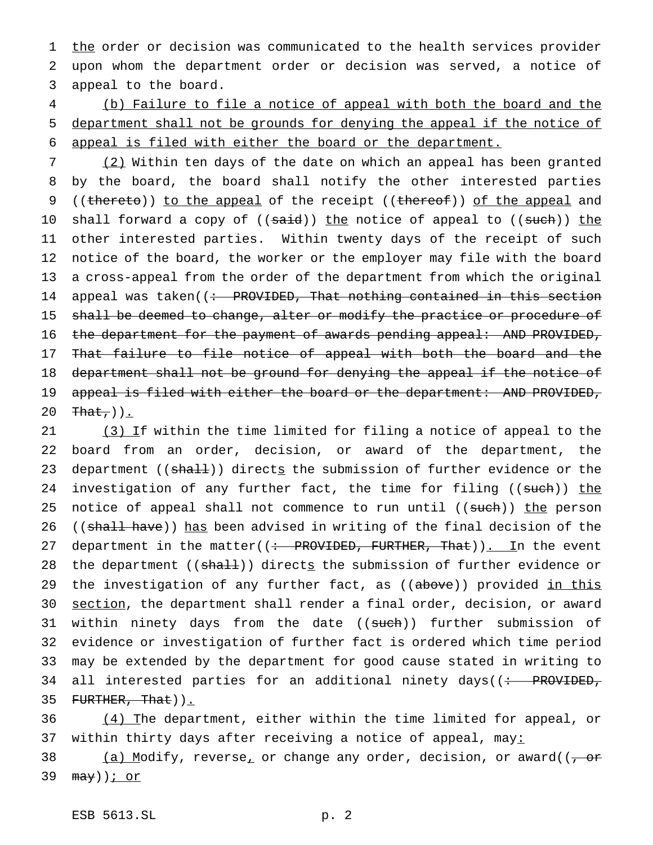1 the order or decision was communicated to the health services provider 2 upon whom the department order or decision was served, a notice of 3 appeal to the board.

4 (b) Failure to file a notice of appeal with both the board and the 5 department shall not be grounds for denying the appeal if the notice of 6 appeal is filed with either the board or the department.

7 (2) Within ten days of the date on which an appeal has been granted 8 by the board, the board shall notify the other interested parties 9 ((thereto)) to the appeal of the receipt ((thereof)) of the appeal and 10 shall forward a copy of ((said)) the notice of appeal to ((such)) the 11 other interested parties. Within twenty days of the receipt of such 12 notice of the board, the worker or the employer may file with the board 13 a cross-appeal from the order of the department from which the original 14 appeal was taken( $\left(\div\right)$  PROVIDED, That nothing contained in this section 15 shall be deemed to change, alter or modify the practice or procedure of 16 the department for the payment of awards pending appeal: AND PROVIDED, 17 That failure to file notice of appeal with both the board and the 18 department shall not be ground for denying the appeal if the notice of 19 appeal is filed with either the board or the department: AND PROVIDED, 20  $\text{That}$ )).

21 (3) If within the time limited for filing a notice of appeal to the 22 board from an order, decision, or award of the department, the 23 department ((shall)) directs the submission of further evidence or the 24 investigation of any further fact, the time for filing ((such)) the 25 notice of appeal shall not commence to run until ((such)) the person 26 ((shall have)) has been advised in writing of the final decision of the 27 department in the matter( $($ : PROVIDED, FURTHER, That)). In the event 28 the department ((shall)) directs the submission of further evidence or 29 the investigation of any further fact, as ((above)) provided in this 30 section, the department shall render a final order, decision, or award 31 within ninety days from the date ((such)) further submission of 32 evidence or investigation of further fact is ordered which time period 33 may be extended by the department for good cause stated in writing to 34 all interested parties for an additional ninety days( $\left( \div \text{ PROVIEW} \right)$ 35  $FURTHER, That)$ .

36 (4) The department, either within the time limited for appeal, or 37 within thirty days after receiving a notice of appeal, may:

38 (a) Modify, reverse<sub>r</sub> or change any order, decision, or award(( $\frac{1}{100}$ 39 may))<u>; or</u>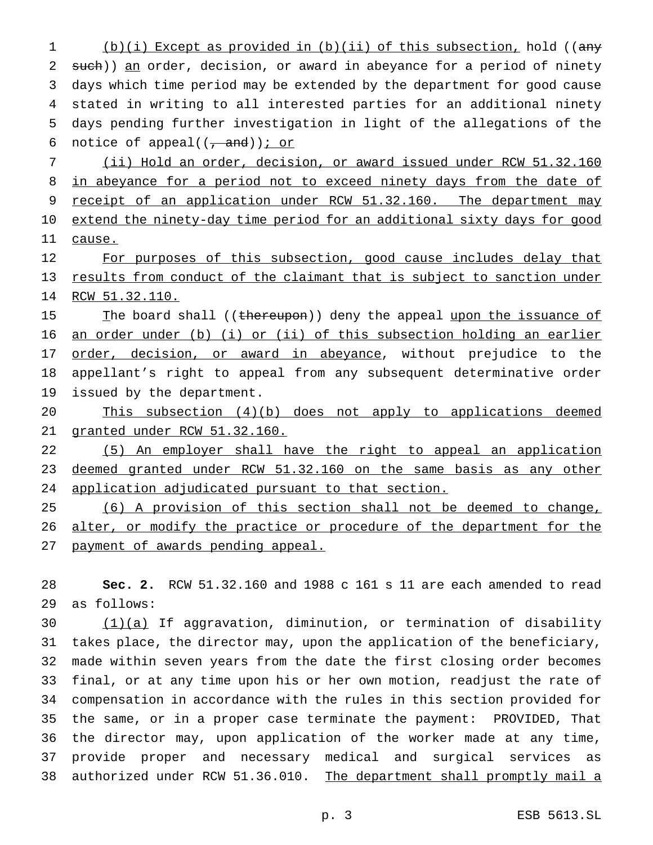1 (b)(i) Except as provided in (b)(ii) of this subsection, hold ((any 2 such)) an order, decision, or award in abeyance for a period of ninety days which time period may be extended by the department for good cause stated in writing to all interested parties for an additional ninety days pending further investigation in light of the allegations of the 6 notice of appeal( $(\frac{1}{\sqrt{a}}$  and)); or

 (ii) Hold an order, decision, or award issued under RCW 51.32.160 8 in abeyance for a period not to exceed ninety days from the date of 9 receipt of an application under RCW 51.32.160. The department may extend the ninety-day time period for an additional sixty days for good 11 cause.

12 For purposes of this subsection, good cause includes delay that results from conduct of the claimant that is subject to sanction under RCW 51.32.110.

15 The board shall ((thereupon)) deny the appeal upon the issuance of an order under (b) (i) or (ii) of this subsection holding an earlier 17 order, decision, or award in abeyance, without prejudice to the appellant's right to appeal from any subsequent determinative order issued by the department.

 This subsection (4)(b) does not apply to applications deemed granted under RCW 51.32.160.

 (5) An employer shall have the right to appeal an application 23 deemed granted under RCW 51.32.160 on the same basis as any other application adjudicated pursuant to that section.

 (6) A provision of this section shall not be deemed to change, 26 alter, or modify the practice or procedure of the department for the payment of awards pending appeal.

 **Sec. 2.** RCW 51.32.160 and 1988 c 161 s 11 are each amended to read as follows:

 $(1)(a)$  If aggravation, diminution, or termination of disability takes place, the director may, upon the application of the beneficiary, made within seven years from the date the first closing order becomes final, or at any time upon his or her own motion, readjust the rate of compensation in accordance with the rules in this section provided for the same, or in a proper case terminate the payment: PROVIDED, That the director may, upon application of the worker made at any time, provide proper and necessary medical and surgical services as 38 authorized under RCW 51.36.010. The department shall promptly mail a